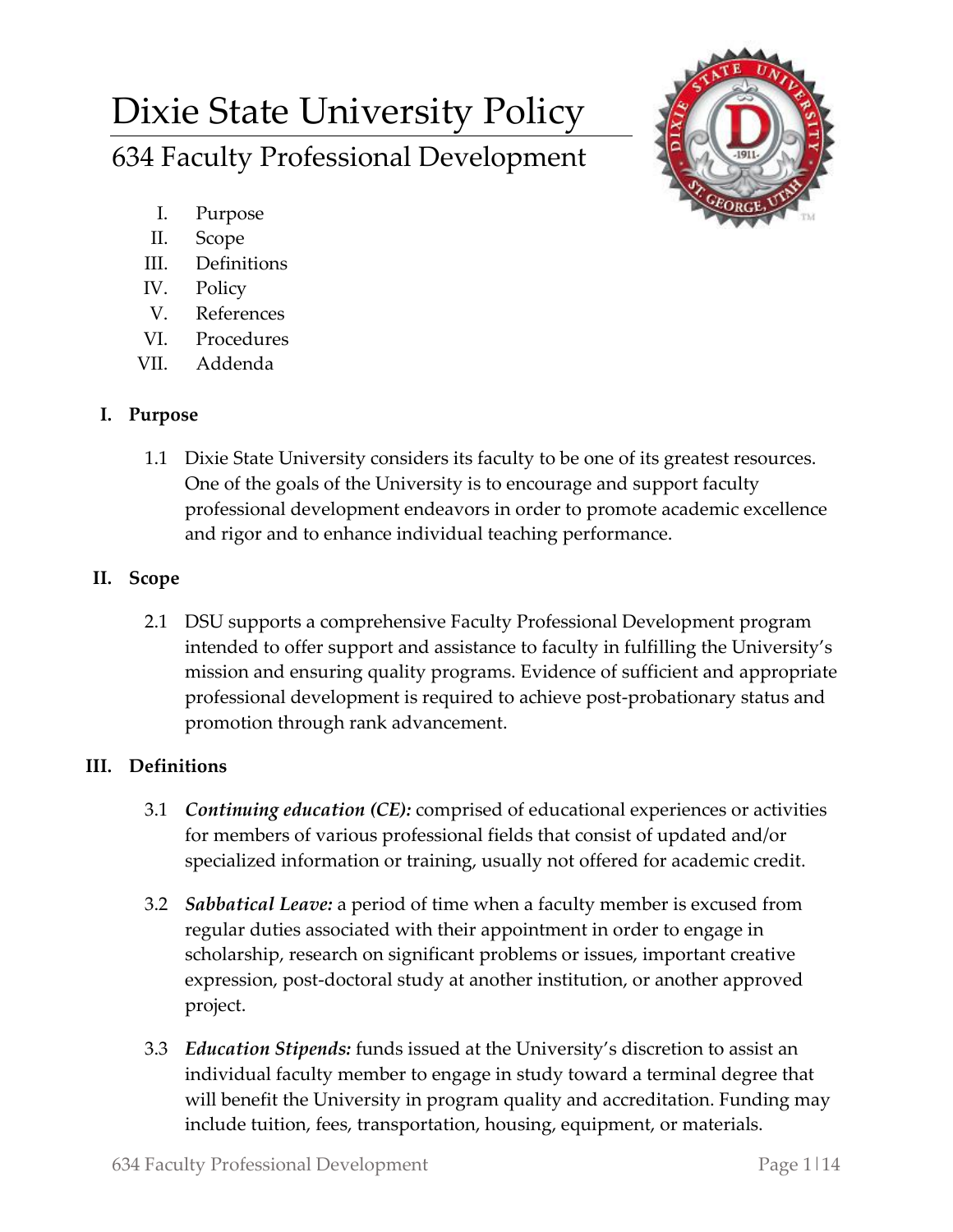# Dixie State University Policy 634 Faculty Professional Development



- I. Purpose
- II. Scope
- III. Definitions
- IV. Policy
- V. References
- VI. Procedures
- VII. Addenda

## **I. Purpose**

1.1 Dixie State University considers its faculty to be one of its greatest resources. One of the goals of the University is to encourage and support faculty professional development endeavors in order to promote academic excellence and rigor and to enhance individual teaching performance.

## **II. Scope**

2.1 DSU supports a comprehensive Faculty Professional Development program intended to offer support and assistance to faculty in fulfilling the University's mission and ensuring quality programs. Evidence of sufficient and appropriate professional development is required to achieve post-probationary status and promotion through rank advancement.

# **III. Definitions**

- 3.1 *Continuing education (CE):* comprised of educational experiences or activities for members of various professional fields that consist of updated and/or specialized information or training, usually not offered for academic credit.
- 3.2 *Sabbatical Leave:* a period of time when a faculty member is excused from regular duties associated with their appointment in order to engage in scholarship, research on significant problems or issues, important creative expression, post-doctoral study at another institution, or another approved project.
- 3.3 *Education Stipends:* funds issued at the University's discretion to assist an individual faculty member to engage in study toward a terminal degree that will benefit the University in program quality and accreditation. Funding may include tuition, fees, transportation, housing, equipment, or materials.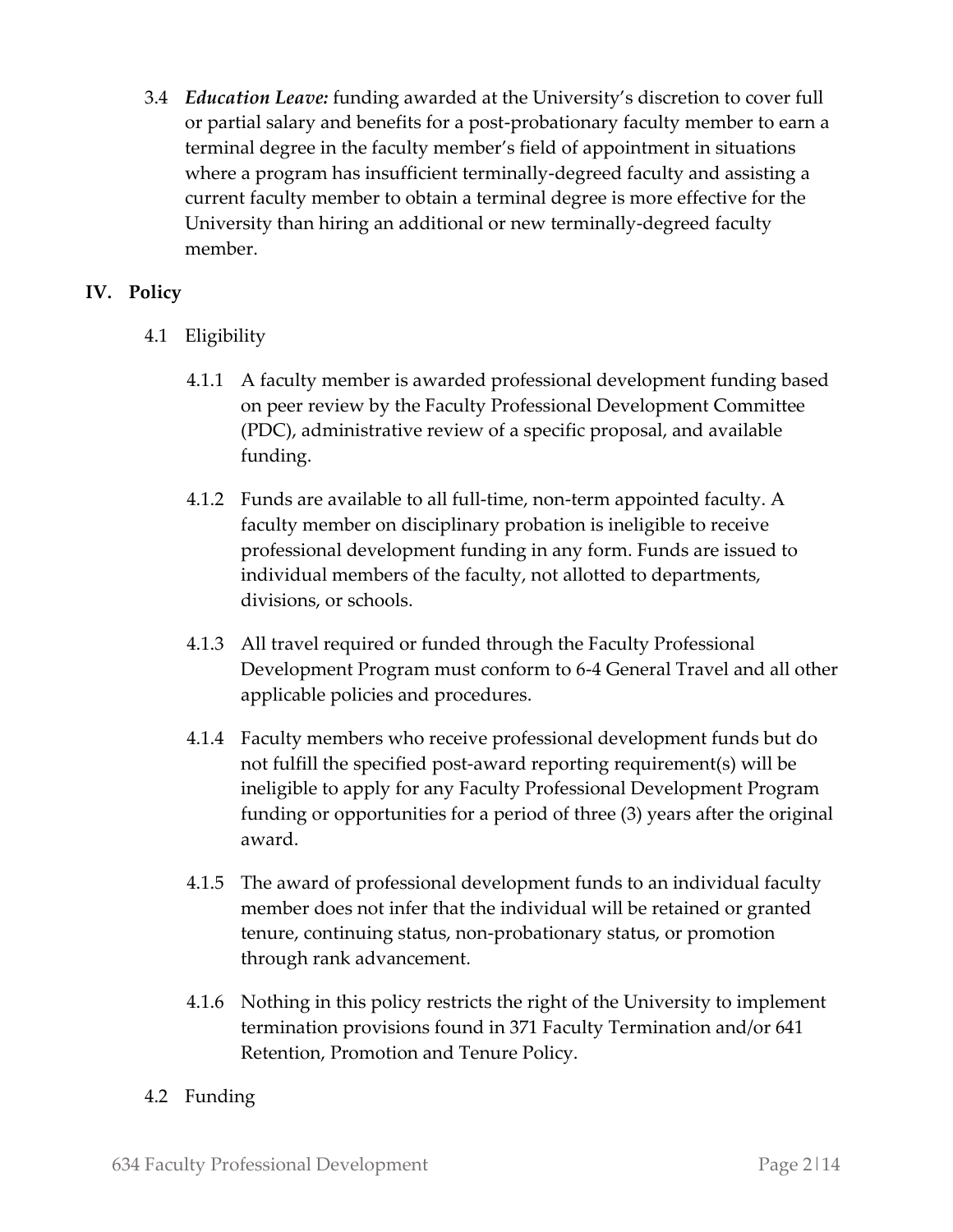3.4 *Education Leave:* funding awarded at the University's discretion to cover full or partial salary and benefits for a post-probationary faculty member to earn a terminal degree in the faculty member's field of appointment in situations where a program has insufficient terminally-degreed faculty and assisting a current faculty member to obtain a terminal degree is more effective for the University than hiring an additional or new terminally-degreed faculty member.

## **IV. Policy**

- 4.1 Eligibility
	- 4.1.1 A faculty member is awarded professional development funding based on peer review by the Faculty Professional Development Committee (PDC), administrative review of a specific proposal, and available funding.
	- 4.1.2 Funds are available to all full-time, non-term appointed faculty. A faculty member on disciplinary probation is ineligible to receive professional development funding in any form. Funds are issued to individual members of the faculty, not allotted to departments, divisions, or schools.
	- 4.1.3 All travel required or funded through the Faculty Professional Development Program must conform to 6-4 General Travel and all other applicable policies and procedures.
	- 4.1.4 Faculty members who receive professional development funds but do not fulfill the specified post-award reporting requirement(s) will be ineligible to apply for any Faculty Professional Development Program funding or opportunities for a period of three (3) years after the original award.
	- 4.1.5 The award of professional development funds to an individual faculty member does not infer that the individual will be retained or granted tenure, continuing status, non-probationary status, or promotion through rank advancement.
	- 4.1.6 Nothing in this policy restricts the right of the University to implement termination provisions found in 371 Faculty Termination and/or 641 Retention, Promotion and Tenure Policy.

### 4.2 Funding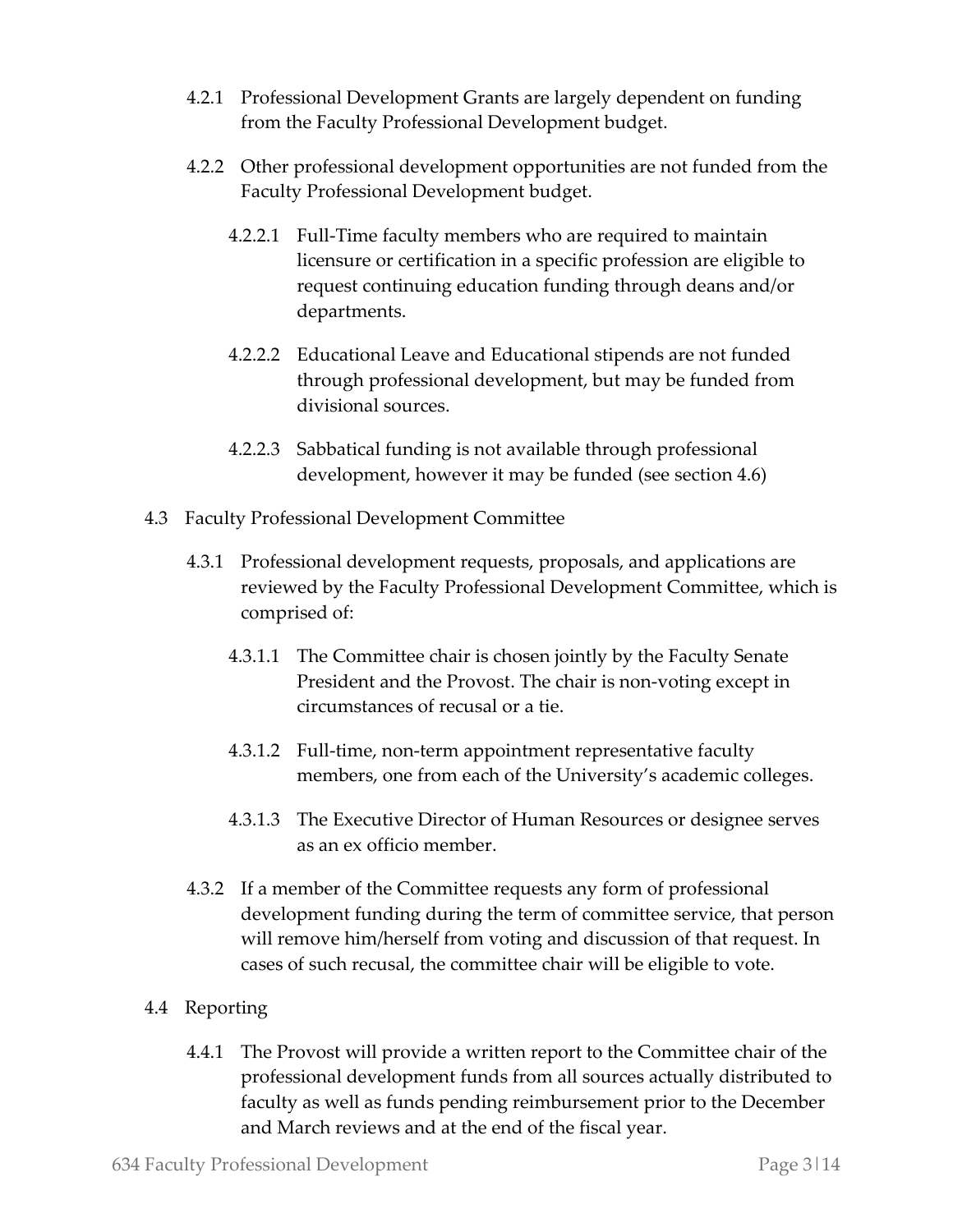- 4.2.1 Professional Development Grants are largely dependent on funding from the Faculty Professional Development budget.
- 4.2.2 Other professional development opportunities are not funded from the Faculty Professional Development budget.
	- 4.2.2.1 Full-Time faculty members who are required to maintain licensure or certification in a specific profession are eligible to request continuing education funding through deans and/or departments.
	- 4.2.2.2 Educational Leave and Educational stipends are not funded through professional development, but may be funded from divisional sources.
	- 4.2.2.3 Sabbatical funding is not available through professional development, however it may be funded (see section 4.6)
- 4.3 Faculty Professional Development Committee
	- 4.3.1 Professional development requests, proposals, and applications are reviewed by the Faculty Professional Development Committee, which is comprised of:
		- 4.3.1.1 The Committee chair is chosen jointly by the Faculty Senate President and the Provost. The chair is non-voting except in circumstances of recusal or a tie.
		- 4.3.1.2 Full-time, non-term appointment representative faculty members, one from each of the University's academic colleges.
		- 4.3.1.3 The Executive Director of Human Resources or designee serves as an ex officio member.
	- 4.3.2 If a member of the Committee requests any form of professional development funding during the term of committee service, that person will remove him/herself from voting and discussion of that request. In cases of such recusal, the committee chair will be eligible to vote.
- 4.4 Reporting
	- 4.4.1 The Provost will provide a written report to the Committee chair of the professional development funds from all sources actually distributed to faculty as well as funds pending reimbursement prior to the December and March reviews and at the end of the fiscal year.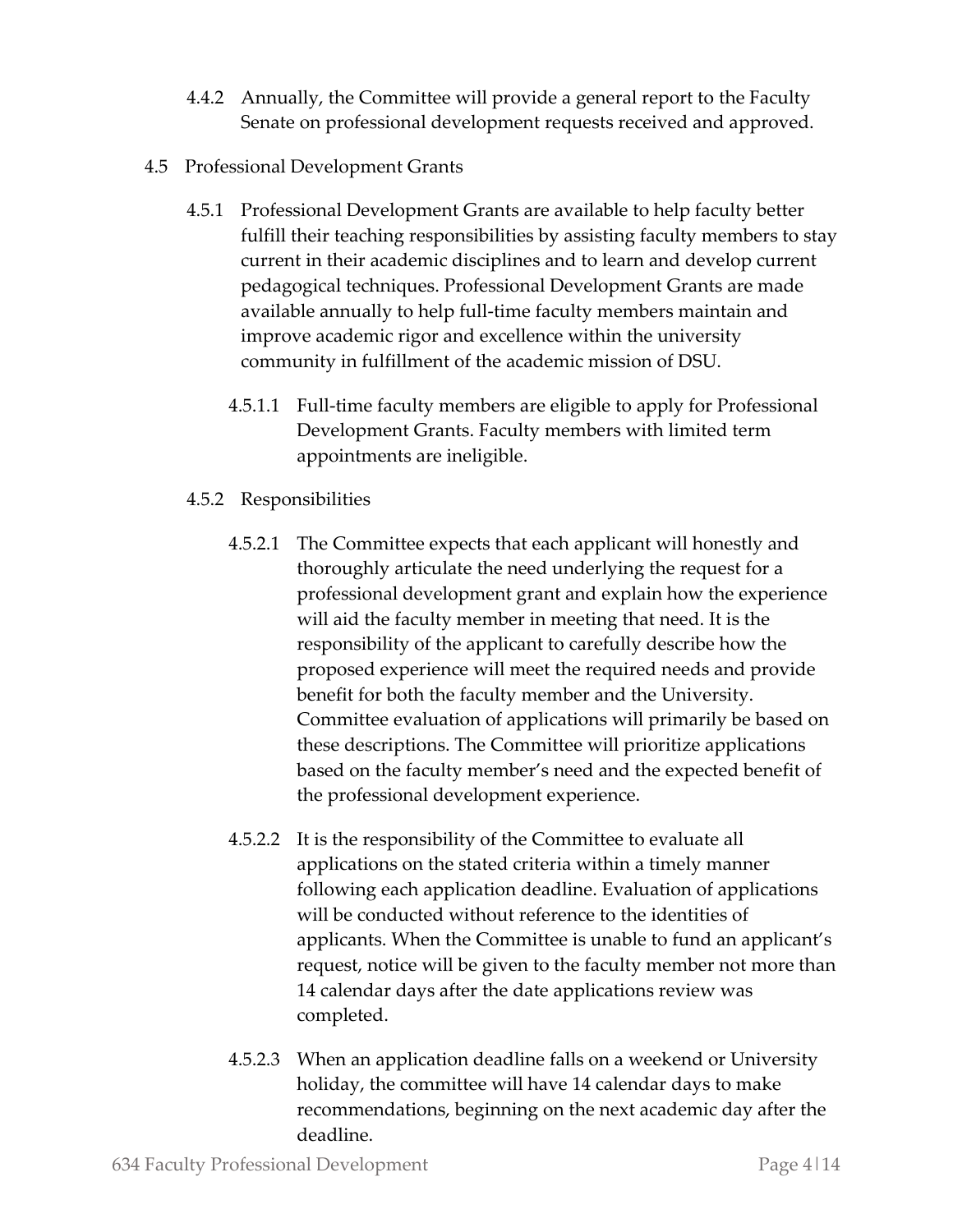- 4.4.2 Annually, the Committee will provide a general report to the Faculty Senate on professional development requests received and approved.
- 4.5 Professional Development Grants
	- 4.5.1 Professional Development Grants are available to help faculty better fulfill their teaching responsibilities by assisting faculty members to stay current in their academic disciplines and to learn and develop current pedagogical techniques. Professional Development Grants are made available annually to help full-time faculty members maintain and improve academic rigor and excellence within the university community in fulfillment of the academic mission of DSU.
		- 4.5.1.1 Full-time faculty members are eligible to apply for Professional Development Grants. Faculty members with limited term appointments are ineligible.
	- 4.5.2 Responsibilities
		- 4.5.2.1 The Committee expects that each applicant will honestly and thoroughly articulate the need underlying the request for a professional development grant and explain how the experience will aid the faculty member in meeting that need. It is the responsibility of the applicant to carefully describe how the proposed experience will meet the required needs and provide benefit for both the faculty member and the University. Committee evaluation of applications will primarily be based on these descriptions. The Committee will prioritize applications based on the faculty member's need and the expected benefit of the professional development experience.
		- 4.5.2.2 It is the responsibility of the Committee to evaluate all applications on the stated criteria within a timely manner following each application deadline. Evaluation of applications will be conducted without reference to the identities of applicants. When the Committee is unable to fund an applicant's request, notice will be given to the faculty member not more than 14 calendar days after the date applications review was completed.
		- 4.5.2.3 When an application deadline falls on a weekend or University holiday, the committee will have 14 calendar days to make recommendations, beginning on the next academic day after the deadline.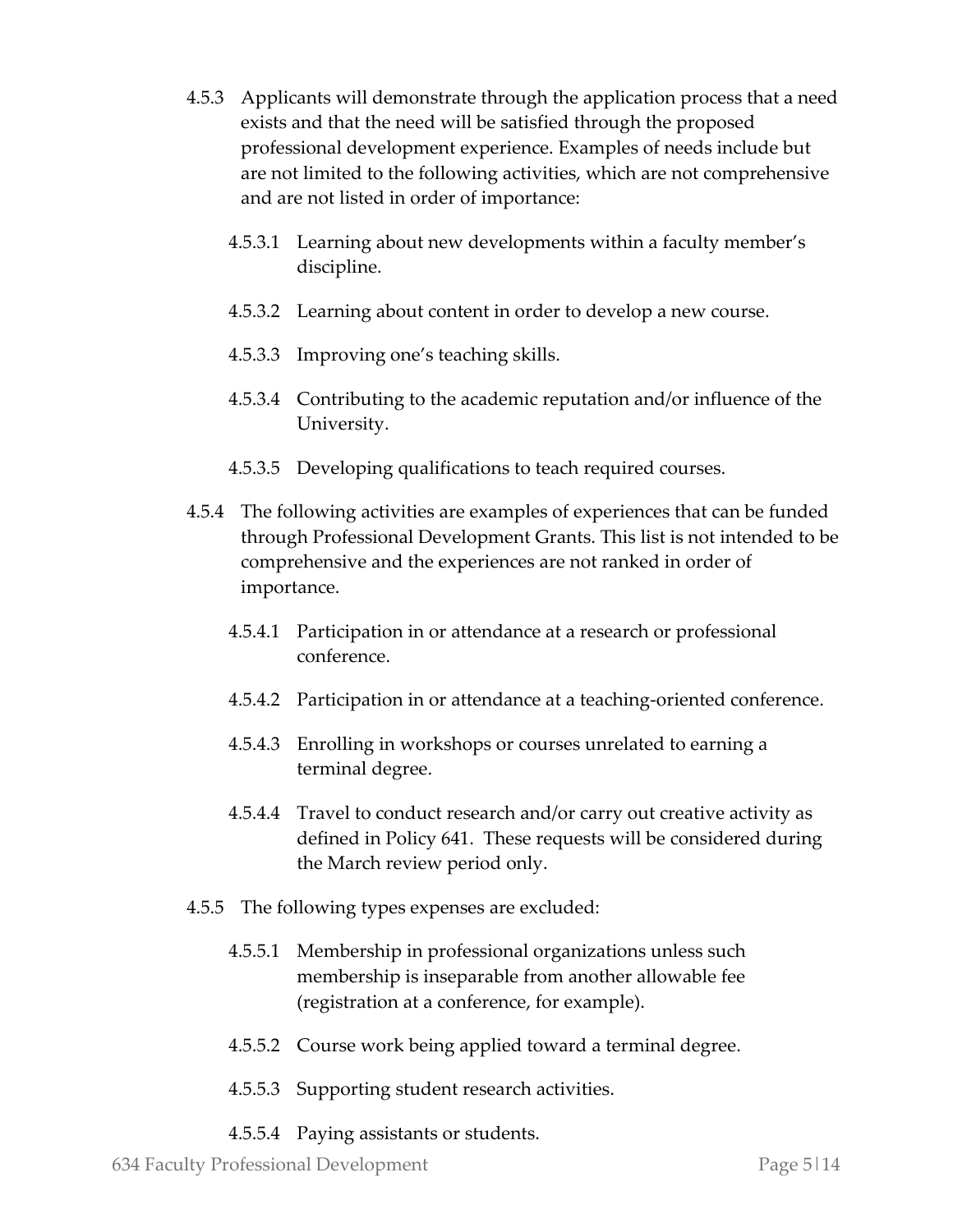- 4.5.3 Applicants will demonstrate through the application process that a need exists and that the need will be satisfied through the proposed professional development experience. Examples of needs include but are not limited to the following activities, which are not comprehensive and are not listed in order of importance:
	- 4.5.3.1 Learning about new developments within a faculty member's discipline.
	- 4.5.3.2 Learning about content in order to develop a new course.
	- 4.5.3.3 Improving one's teaching skills.
	- 4.5.3.4 Contributing to the academic reputation and/or influence of the University.
	- 4.5.3.5 Developing qualifications to teach required courses.
- 4.5.4 The following activities are examples of experiences that can be funded through Professional Development Grants. This list is not intended to be comprehensive and the experiences are not ranked in order of importance.
	- 4.5.4.1 Participation in or attendance at a research or professional conference.
	- 4.5.4.2 Participation in or attendance at a teaching-oriented conference.
	- 4.5.4.3 Enrolling in workshops or courses unrelated to earning a terminal degree.
	- 4.5.4.4 Travel to conduct research and/or carry out creative activity as defined in Policy 641. These requests will be considered during the March review period only.
- 4.5.5 The following types expenses are excluded:
	- 4.5.5.1 Membership in professional organizations unless such membership is inseparable from another allowable fee (registration at a conference, for example).
	- 4.5.5.2 Course work being applied toward a terminal degree.
	- 4.5.5.3 Supporting student research activities.
	- 4.5.5.4 Paying assistants or students.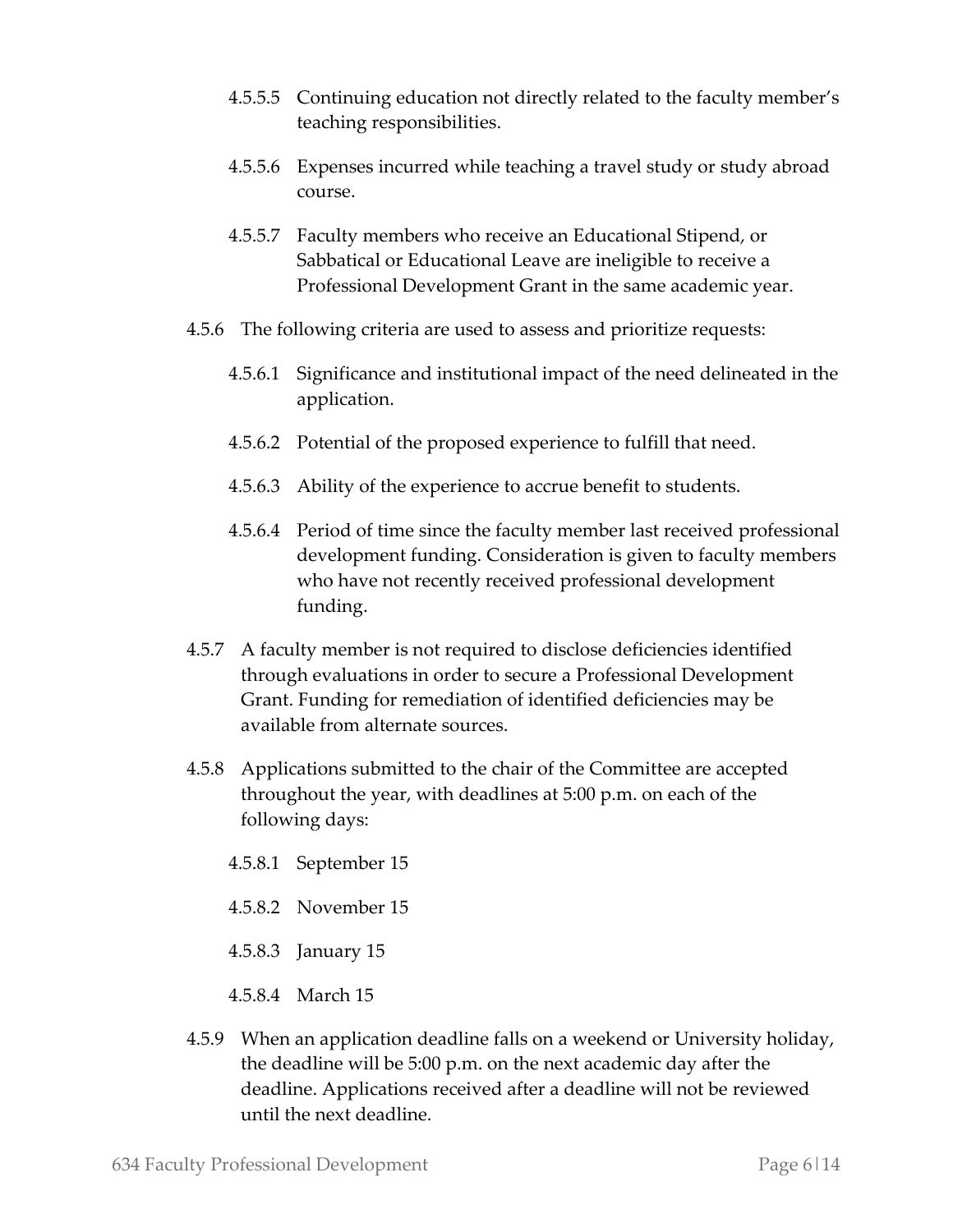- 4.5.5.5 Continuing education not directly related to the faculty member's teaching responsibilities.
- 4.5.5.6 Expenses incurred while teaching a travel study or study abroad course.
- 4.5.5.7 Faculty members who receive an Educational Stipend, or Sabbatical or Educational Leave are ineligible to receive a Professional Development Grant in the same academic year.
- 4.5.6 The following criteria are used to assess and prioritize requests:
	- 4.5.6.1 Significance and institutional impact of the need delineated in the application.
	- 4.5.6.2 Potential of the proposed experience to fulfill that need.
	- 4.5.6.3 Ability of the experience to accrue benefit to students.
	- 4.5.6.4 Period of time since the faculty member last received professional development funding. Consideration is given to faculty members who have not recently received professional development funding.
- 4.5.7 A faculty member is not required to disclose deficiencies identified through evaluations in order to secure a Professional Development Grant. Funding for remediation of identified deficiencies may be available from alternate sources.
- 4.5.8 Applications submitted to the chair of the Committee are accepted throughout the year, with deadlines at 5:00 p.m. on each of the following days:
	- 4.5.8.1 September 15
	- 4.5.8.2 November 15
	- 4.5.8.3 January 15
	- 4.5.8.4 March 15
- 4.5.9 When an application deadline falls on a weekend or University holiday, the deadline will be 5:00 p.m. on the next academic day after the deadline. Applications received after a deadline will not be reviewed until the next deadline.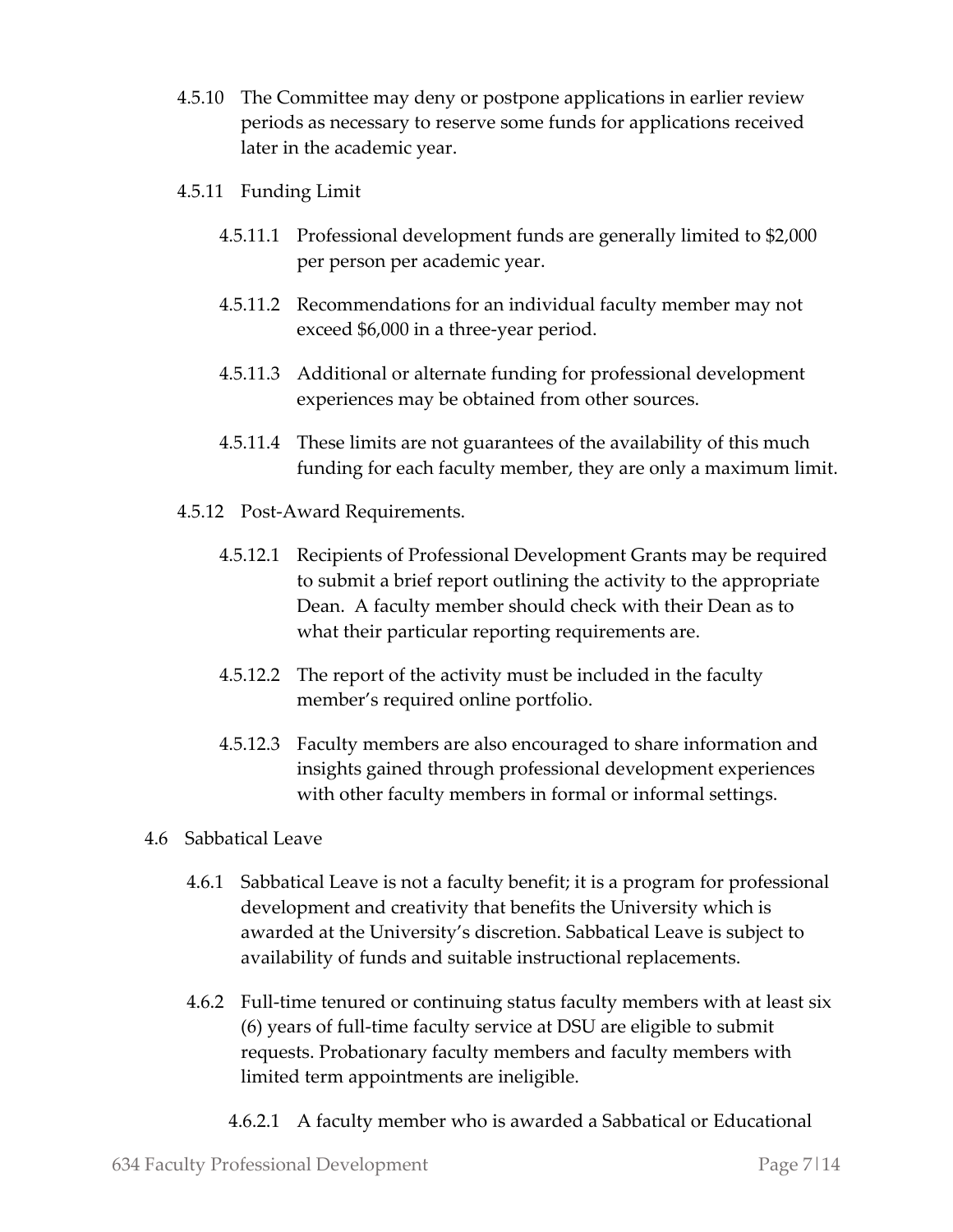- 4.5.10 The Committee may deny or postpone applications in earlier review periods as necessary to reserve some funds for applications received later in the academic year.
- 4.5.11 Funding Limit
	- 4.5.11.1 Professional development funds are generally limited to \$2,000 per person per academic year.
	- 4.5.11.2 Recommendations for an individual faculty member may not exceed \$6,000 in a three-year period.
	- 4.5.11.3 Additional or alternate funding for professional development experiences may be obtained from other sources.
	- 4.5.11.4 These limits are not guarantees of the availability of this much funding for each faculty member, they are only a maximum limit.
- 4.5.12 Post-Award Requirements.
	- 4.5.12.1 Recipients of Professional Development Grants may be required to submit a brief report outlining the activity to the appropriate Dean. A faculty member should check with their Dean as to what their particular reporting requirements are.
	- 4.5.12.2 The report of the activity must be included in the faculty member's required online portfolio.
	- 4.5.12.3 Faculty members are also encouraged to share information and insights gained through professional development experiences with other faculty members in formal or informal settings.
- 4.6 Sabbatical Leave
	- 4.6.1 Sabbatical Leave is not a faculty benefit; it is a program for professional development and creativity that benefits the University which is awarded at the University's discretion. Sabbatical Leave is subject to availability of funds and suitable instructional replacements.
	- 4.6.2 Full-time tenured or continuing status faculty members with at least six (6) years of full-time faculty service at DSU are eligible to submit requests. Probationary faculty members and faculty members with limited term appointments are ineligible.
		- 4.6.2.1 A faculty member who is awarded a Sabbatical or Educational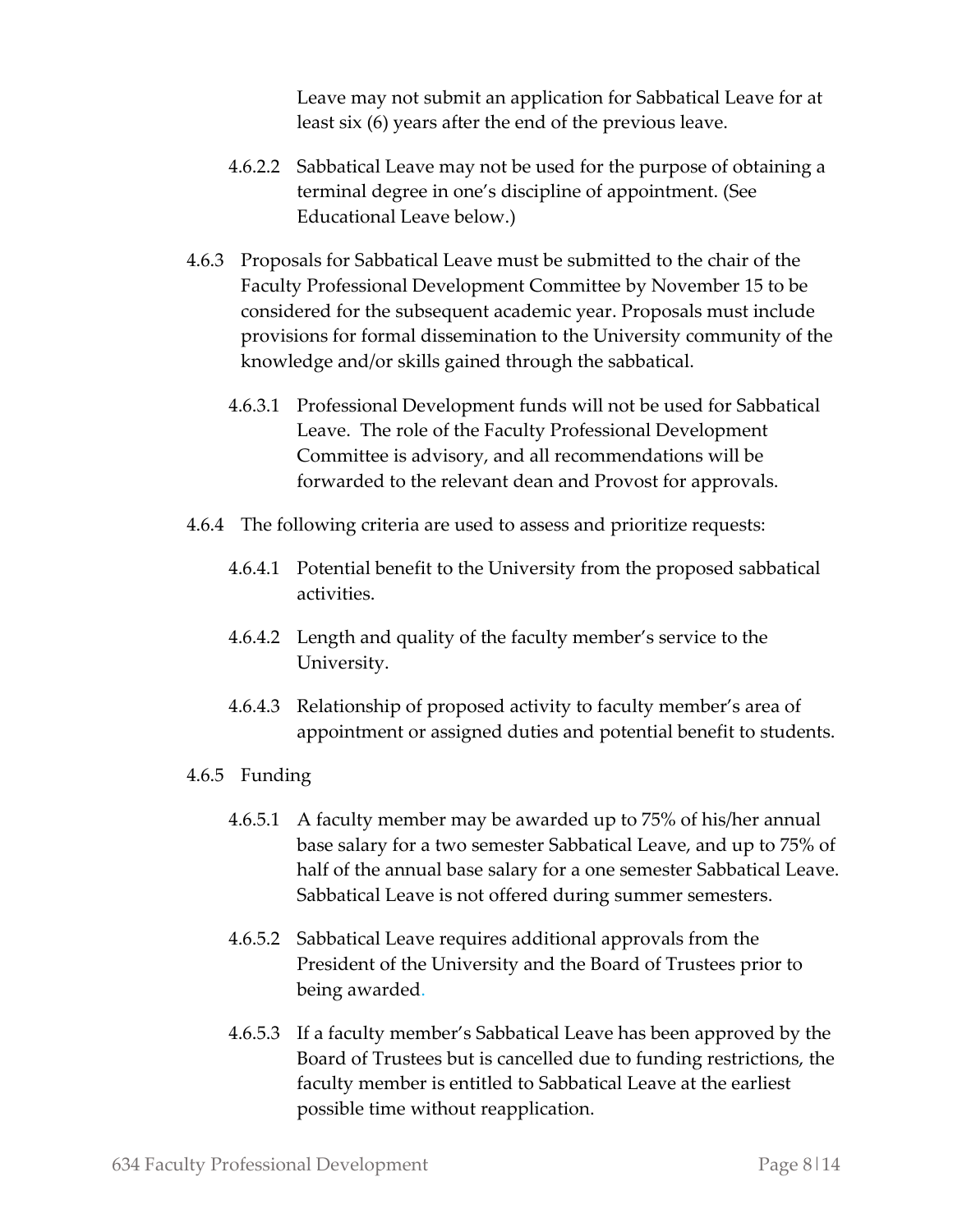Leave may not submit an application for Sabbatical Leave for at least six (6) years after the end of the previous leave.

- 4.6.2.2 Sabbatical Leave may not be used for the purpose of obtaining a terminal degree in one's discipline of appointment. (See Educational Leave below.)
- 4.6.3 Proposals for Sabbatical Leave must be submitted to the chair of the Faculty Professional Development Committee by November 15 to be considered for the subsequent academic year. Proposals must include provisions for formal dissemination to the University community of the knowledge and/or skills gained through the sabbatical.
	- 4.6.3.1 Professional Development funds will not be used for Sabbatical Leave. The role of the Faculty Professional Development Committee is advisory, and all recommendations will be forwarded to the relevant dean and Provost for approvals.
- 4.6.4 The following criteria are used to assess and prioritize requests:
	- 4.6.4.1 Potential benefit to the University from the proposed sabbatical activities.
	- 4.6.4.2 Length and quality of the faculty member's service to the University.
	- 4.6.4.3 Relationship of proposed activity to faculty member's area of appointment or assigned duties and potential benefit to students.
- 4.6.5 Funding
	- 4.6.5.1 A faculty member may be awarded up to 75% of his/her annual base salary for a two semester Sabbatical Leave, and up to 75% of half of the annual base salary for a one semester Sabbatical Leave. Sabbatical Leave is not offered during summer semesters.
	- 4.6.5.2 Sabbatical Leave requires additional approvals from the President of the University and the Board of Trustees prior to being awarded.
	- 4.6.5.3 If a faculty member's Sabbatical Leave has been approved by the Board of Trustees but is cancelled due to funding restrictions, the faculty member is entitled to Sabbatical Leave at the earliest possible time without reapplication.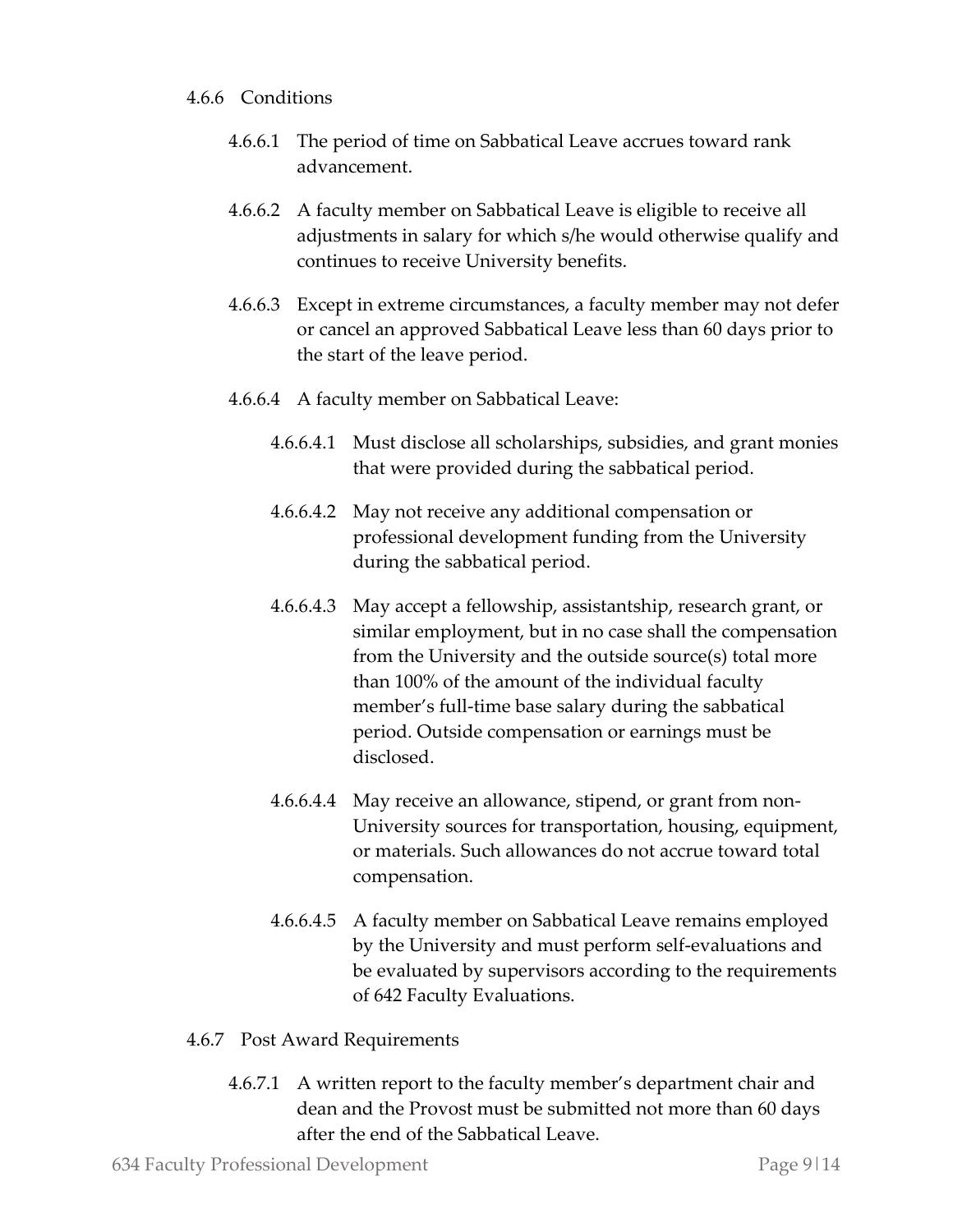#### 4.6.6 Conditions

- 4.6.6.1 The period of time on Sabbatical Leave accrues toward rank advancement.
- 4.6.6.2 A faculty member on Sabbatical Leave is eligible to receive all adjustments in salary for which s/he would otherwise qualify and continues to receive University benefits.
- 4.6.6.3 Except in extreme circumstances, a faculty member may not defer or cancel an approved Sabbatical Leave less than 60 days prior to the start of the leave period.
- 4.6.6.4 A faculty member on Sabbatical Leave:
	- 4.6.6.4.1 Must disclose all scholarships, subsidies, and grant monies that were provided during the sabbatical period.
	- 4.6.6.4.2 May not receive any additional compensation or professional development funding from the University during the sabbatical period.
	- 4.6.6.4.3 May accept a fellowship, assistantship, research grant, or similar employment, but in no case shall the compensation from the University and the outside source(s) total more than 100% of the amount of the individual faculty member's full-time base salary during the sabbatical period. Outside compensation or earnings must be disclosed.
	- 4.6.6.4.4 May receive an allowance, stipend, or grant from non-University sources for transportation, housing, equipment, or materials. Such allowances do not accrue toward total compensation.
	- 4.6.6.4.5 A faculty member on Sabbatical Leave remains employed by the University and must perform self-evaluations and be evaluated by supervisors according to the requirements of 642 Faculty Evaluations.

#### 4.6.7 Post Award Requirements

4.6.7.1 A written report to the faculty member's department chair and dean and the Provost must be submitted not more than 60 days after the end of the Sabbatical Leave.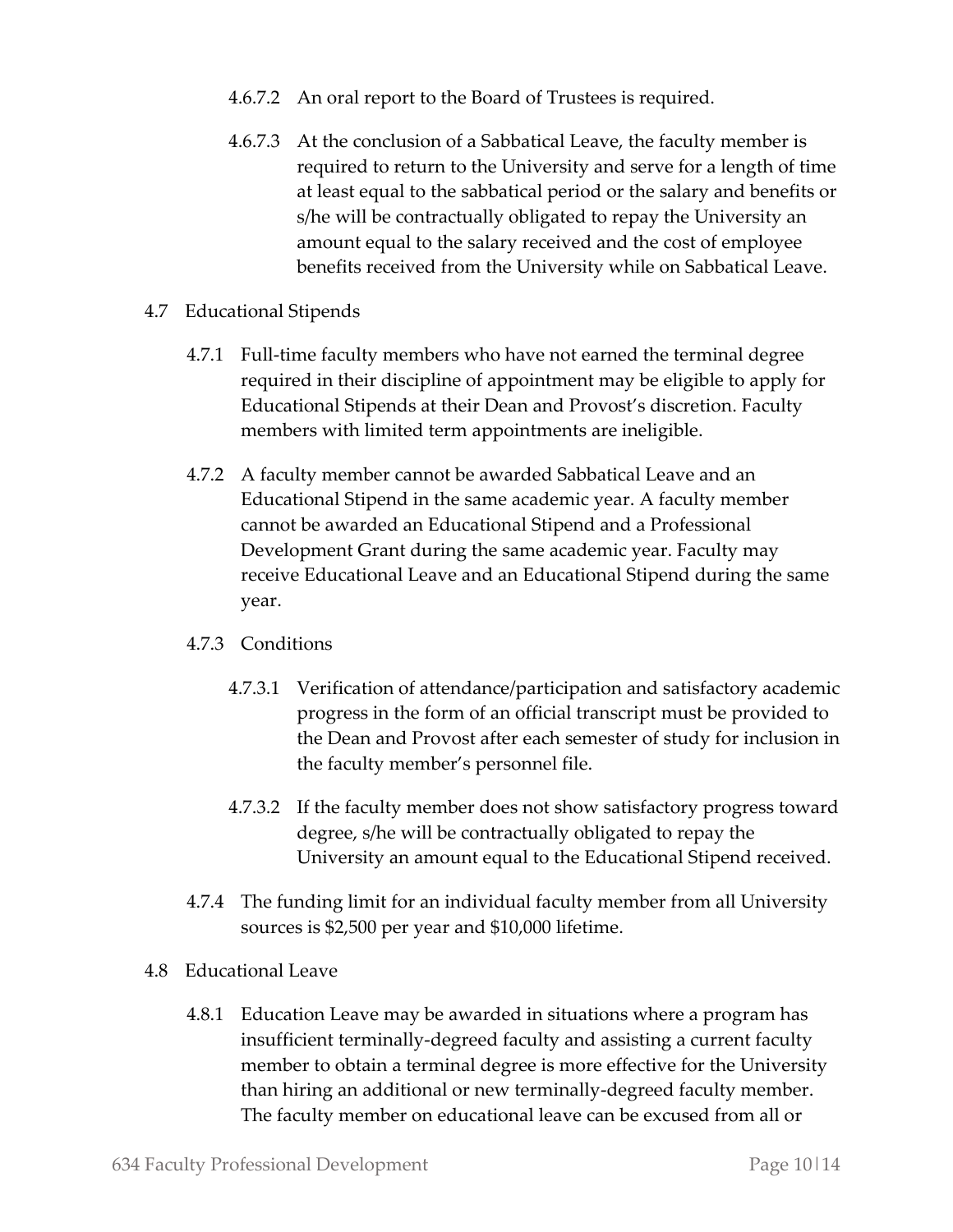- 4.6.7.2 An oral report to the Board of Trustees is required.
- 4.6.7.3 At the conclusion of a Sabbatical Leave, the faculty member is required to return to the University and serve for a length of time at least equal to the sabbatical period or the salary and benefits or s/he will be contractually obligated to repay the University an amount equal to the salary received and the cost of employee benefits received from the University while on Sabbatical Leave.
- 4.7 Educational Stipends
	- 4.7.1 Full-time faculty members who have not earned the terminal degree required in their discipline of appointment may be eligible to apply for Educational Stipends at their Dean and Provost's discretion. Faculty members with limited term appointments are ineligible.
	- 4.7.2 A faculty member cannot be awarded Sabbatical Leave and an Educational Stipend in the same academic year. A faculty member cannot be awarded an Educational Stipend and a Professional Development Grant during the same academic year. Faculty may receive Educational Leave and an Educational Stipend during the same year.

#### 4.7.3 Conditions

- 4.7.3.1 Verification of attendance/participation and satisfactory academic progress in the form of an official transcript must be provided to the Dean and Provost after each semester of study for inclusion in the faculty member's personnel file.
- 4.7.3.2 If the faculty member does not show satisfactory progress toward degree, s/he will be contractually obligated to repay the University an amount equal to the Educational Stipend received.
- 4.7.4 The funding limit for an individual faculty member from all University sources is \$2,500 per year and \$10,000 lifetime.

#### 4.8 Educational Leave

4.8.1 Education Leave may be awarded in situations where a program has insufficient terminally-degreed faculty and assisting a current faculty member to obtain a terminal degree is more effective for the University than hiring an additional or new terminally-degreed faculty member. The faculty member on educational leave can be excused from all or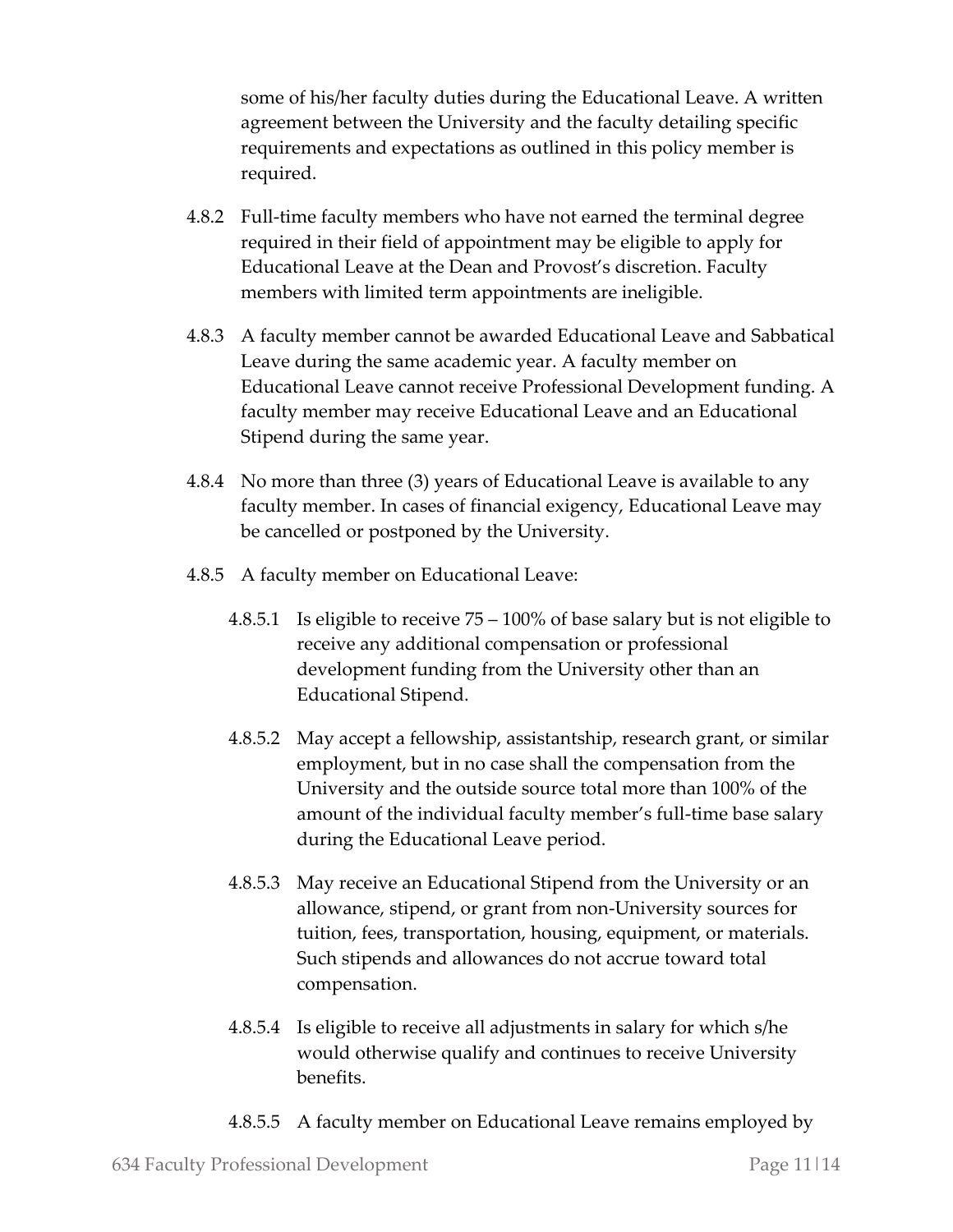some of his/her faculty duties during the Educational Leave. A written agreement between the University and the faculty detailing specific requirements and expectations as outlined in this policy member is required.

- 4.8.2 Full-time faculty members who have not earned the terminal degree required in their field of appointment may be eligible to apply for Educational Leave at the Dean and Provost's discretion. Faculty members with limited term appointments are ineligible.
- 4.8.3 A faculty member cannot be awarded Educational Leave and Sabbatical Leave during the same academic year. A faculty member on Educational Leave cannot receive Professional Development funding. A faculty member may receive Educational Leave and an Educational Stipend during the same year.
- 4.8.4 No more than three (3) years of Educational Leave is available to any faculty member. In cases of financial exigency, Educational Leave may be cancelled or postponed by the University.
- 4.8.5 A faculty member on Educational Leave:
	- 4.8.5.1 Is eligible to receive 75 100% of base salary but is not eligible to receive any additional compensation or professional development funding from the University other than an Educational Stipend.
	- 4.8.5.2 May accept a fellowship, assistantship, research grant, or similar employment, but in no case shall the compensation from the University and the outside source total more than 100% of the amount of the individual faculty member's full-time base salary during the Educational Leave period.
	- 4.8.5.3 May receive an Educational Stipend from the University or an allowance, stipend, or grant from non-University sources for tuition, fees, transportation, housing, equipment, or materials. Such stipends and allowances do not accrue toward total compensation.
	- 4.8.5.4 Is eligible to receive all adjustments in salary for which s/he would otherwise qualify and continues to receive University benefits.
	- 4.8.5.5 A faculty member on Educational Leave remains employed by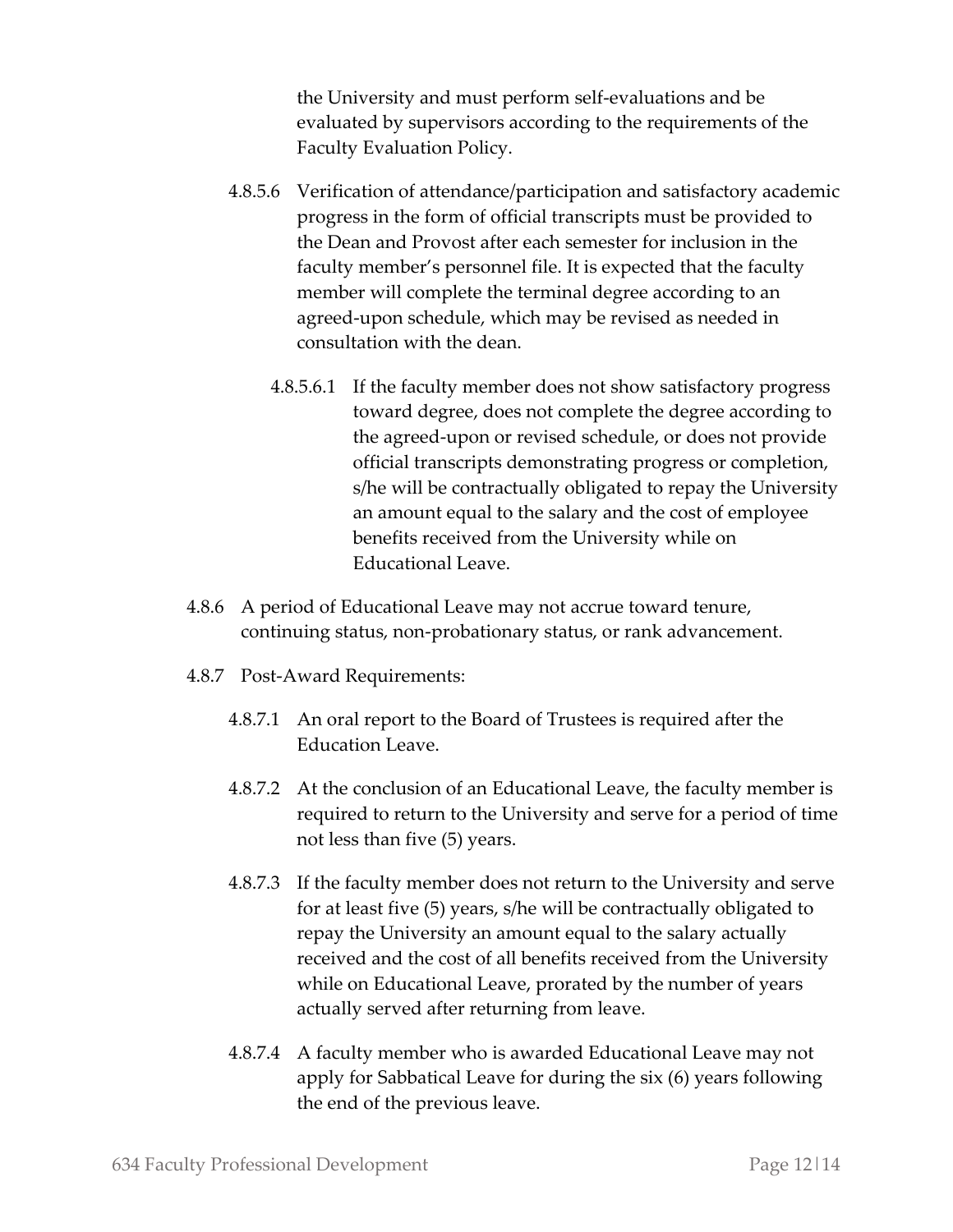the University and must perform self-evaluations and be evaluated by supervisors according to the requirements of the Faculty Evaluation Policy.

- 4.8.5.6 Verification of attendance/participation and satisfactory academic progress in the form of official transcripts must be provided to the Dean and Provost after each semester for inclusion in the faculty member's personnel file. It is expected that the faculty member will complete the terminal degree according to an agreed-upon schedule, which may be revised as needed in consultation with the dean.
	- 4.8.5.6.1 If the faculty member does not show satisfactory progress toward degree, does not complete the degree according to the agreed-upon or revised schedule, or does not provide official transcripts demonstrating progress or completion, s/he will be contractually obligated to repay the University an amount equal to the salary and the cost of employee benefits received from the University while on Educational Leave.
- 4.8.6 A period of Educational Leave may not accrue toward tenure, continuing status, non-probationary status, or rank advancement.
- 4.8.7 Post-Award Requirements:
	- 4.8.7.1 An oral report to the Board of Trustees is required after the Education Leave.
	- 4.8.7.2 At the conclusion of an Educational Leave, the faculty member is required to return to the University and serve for a period of time not less than five (5) years.
	- 4.8.7.3 If the faculty member does not return to the University and serve for at least five (5) years, s/he will be contractually obligated to repay the University an amount equal to the salary actually received and the cost of all benefits received from the University while on Educational Leave, prorated by the number of years actually served after returning from leave.
	- 4.8.7.4 A faculty member who is awarded Educational Leave may not apply for Sabbatical Leave for during the six (6) years following the end of the previous leave.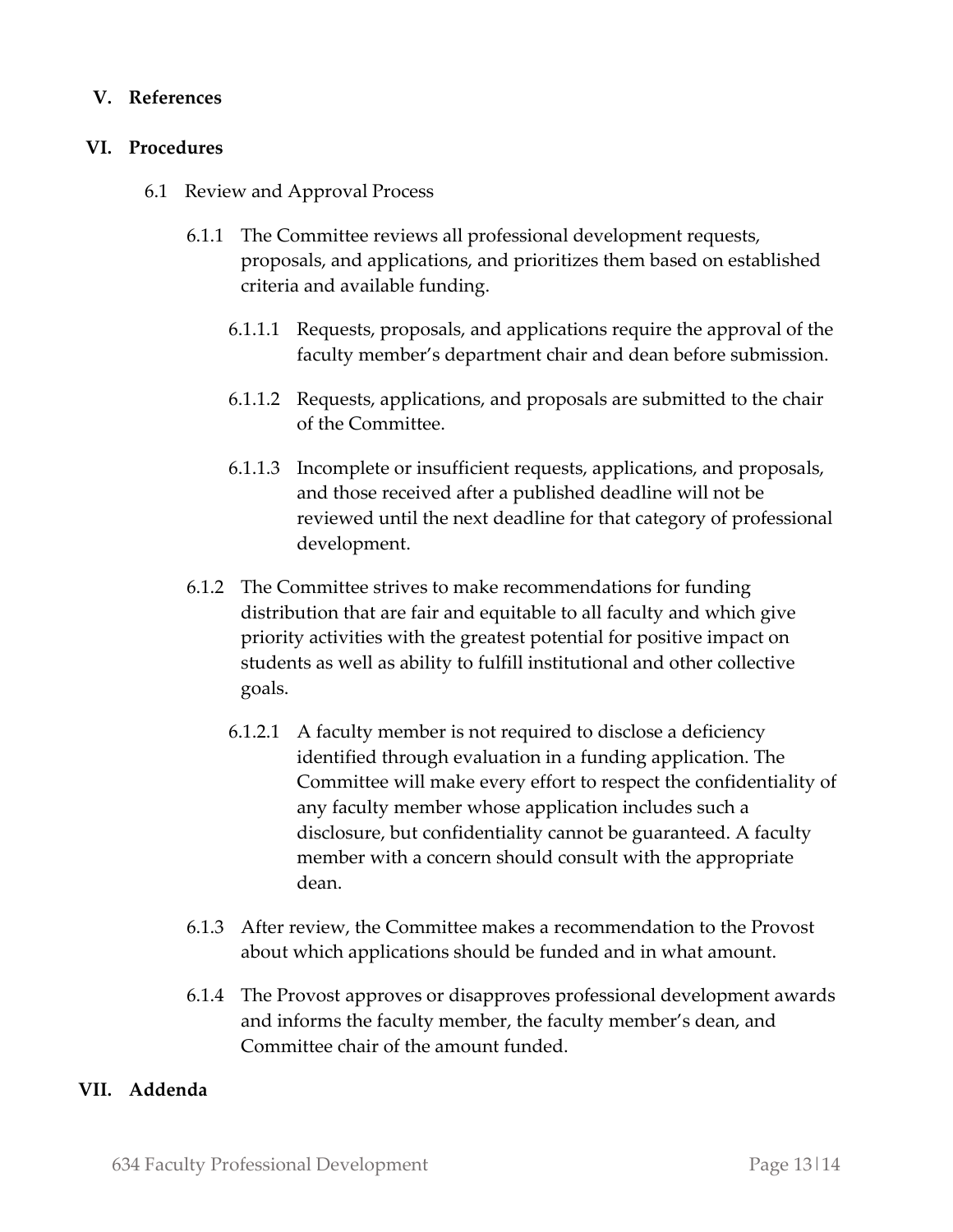#### **V. References**

#### **VI. Procedures**

- 6.1 Review and Approval Process
	- 6.1.1 The Committee reviews all professional development requests, proposals, and applications, and prioritizes them based on established criteria and available funding.
		- 6.1.1.1 Requests, proposals, and applications require the approval of the faculty member's department chair and dean before submission.
		- 6.1.1.2 Requests, applications, and proposals are submitted to the chair of the Committee.
		- 6.1.1.3 Incomplete or insufficient requests, applications, and proposals, and those received after a published deadline will not be reviewed until the next deadline for that category of professional development.
	- 6.1.2 The Committee strives to make recommendations for funding distribution that are fair and equitable to all faculty and which give priority activities with the greatest potential for positive impact on students as well as ability to fulfill institutional and other collective goals.
		- 6.1.2.1 A faculty member is not required to disclose a deficiency identified through evaluation in a funding application. The Committee will make every effort to respect the confidentiality of any faculty member whose application includes such a disclosure, but confidentiality cannot be guaranteed. A faculty member with a concern should consult with the appropriate dean.
	- 6.1.3 After review, the Committee makes a recommendation to the Provost about which applications should be funded and in what amount.
	- 6.1.4 The Provost approves or disapproves professional development awards and informs the faculty member, the faculty member's dean, and Committee chair of the amount funded.

#### **VII. Addenda**